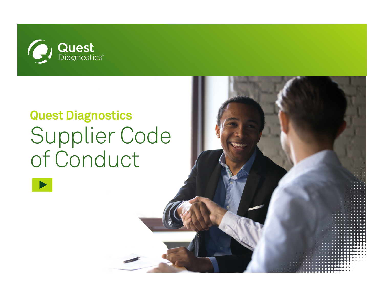<span id="page-0-0"></span>

# **Quest Diagnostics** Supplier Code<br>of Conduct

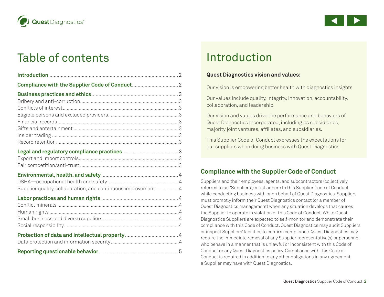<span id="page-1-0"></span>



# Table of contents

| Supplier quality, collaboration, and continuous improvement 4 |  |
|---------------------------------------------------------------|--|
|                                                               |  |
|                                                               |  |
|                                                               |  |
|                                                               |  |
|                                                               |  |
|                                                               |  |
|                                                               |  |
|                                                               |  |

# Introduction

#### **Quest Diagnostics vision and values:**

Our vision is empowering better health with diagnostics insights.

Our values include quality, integrity, innovation, accountability, collaboration, and leadership.

Our vision and values drive the performance and behaviors of Quest Diagnostics Incorporated, including its subsidiaries, majority joint ventures, affiliates, and subsidiaries.

This Supplier Code of Conduct expresses the expectations for our suppliers when doing business with Quest Diagnostics.

## **Compliance with the Supplier Code of Conduct**

Suppliers and their employees, agents, and subcontractors (collectively referred to as "Suppliers") must adhere to this Supplier Code of Conduct while conducting business with or on behalf of Quest Diagnostics. Suppliers must promptly inform their Quest Diagnostics contact (or a member of Quest Diagnostics management) when any situation develops that causes the Supplier to operate in violation of this Code of Conduct. While Quest Diagnostics Suppliers are expected to self-monitor and demonstrate their compliance with this Code of Conduct, Quest Diagnostics may audit Suppliers or inspect Suppliers' facilities to confirm compliance. Quest Diagnostics may require the immediate removal of any Supplier representative(s) or personnel who behave in a manner that is unlawful or inconsistent with this Code of Conduct or any Quest Diagnostics policy. Compliance with this Code of Conduct is required in addition to any other obligations in any agreement a Supplier may have with Quest Diagnostics.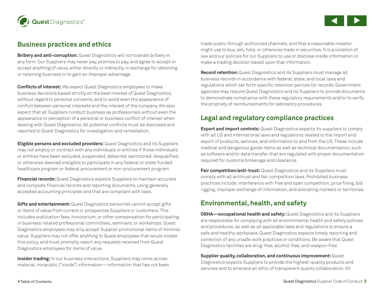<span id="page-2-0"></span>



#### **Business practices and ethics**

**Bribery and anti-corruption:** Quest Diagnostics will not tolerate bribery in any form. Our Suppliers may never pay, promise to pay, and agree to accept or accept anything of value, either directly or indirectly, in exchange for obtaining or retaining business or to gain an improper advantage.

**Conflicts of interest:** We expect Quest Diagnostics employees to make business decisions based strictly on the best interest of Quest Diagnostics, without regard to personal concerns, and to avoid even the appearance of conflict between personal interests and the interest of the company. We also expect that all Suppliers conduct business as professionals without even the appearance or perception of a personal or business conflict of interest when dealing with Quest Diagnostics. All potential conflicts must be disclosed and reported to Quest Diagnostics for investigation and remediation.

**Eligible persons and excluded providers:** Quest Diagnostics and its Suppliers may not employ or contract with any individuals or entities if those individuals or entities have been excluded, suspended, debarred, sanctioned, disqualified, or otherwise deemed ineligible to participate in any federal or state-funded healthcare program or federal procurement or non-procurement program.

**Financial records:** Quest Diagnostics expects Suppliers to maintain accurate and complete financial records and reporting documents, using generally accepted accounting principles and that are compliant with laws.

**Gifts and entertainment:** Quest Diagnostics personnel cannot accept gifts or items of value from current or prospective Suppliers or customers. This includes publication fees, honorarium, or other compensation for participating in business-related professional committees, seminars, or workshops. Quest Diagnostics employees may only accept Supplier promotional items of minimal value. Suppliers may not offer anything to Quest employees that would violate this policy, and must promptly report any requests received from Quest Diagnostics employees for items of value.

**Insider trading:** In our business interactions, Suppliers may come across material, nonpublic ("inside") information—information that has not been

made public through authorized channels, and that a reasonable investor might use to buy, sell, hold, or otherwise trade in securities. It is a violation of law and our policies for our Suppliers to use or disclose inside information or make a trading decision based upon that information.

**Record retention:** Quest Diagnostics and its Suppliers must manage all business records in accordance with federal, state, and local laws and regulations which set forth specific retention periods for records. Government agencies may require Quest Diagnostics and its Suppliers to provide documents to demonstrate compliance with these regulatory requirements and/or to verify the propriety of reimbursements for laboratory procedures.

## **Legal and regulatory compliance practices**

**Export and import controls:** Quest Diagnostics expects its suppliers to comply with all US and international laws and regulations related to the import and export of products, services, and information to and from the US. These include medical and dangerous goods items as well as technical documentation, such as software and/or data transfer, that are regulated with proper documentation required for customs brokerage and clearance.

**Fair competition/anti-trust:** Quest Diagnostics and its Suppliers must comply with all antitrust and fair competition laws. Prohibited business practices include: interference with free and open competition, price fixing, bid rigging, improper exchange of information, and allocating markets or territories.

## **Environmental, health, and safety**

**OSHA—occupational health and safety:** Quest Diagnostics and its Suppliers are responsible for complying with all environmental health and safety policies and procedures, as well as all applicable laws and regulations to ensure a safe and healthy workplace. Quest Diagnostics expects timely reporting and correction of any unsafe work practices or conditions. Be aware that Quest Diagnostics facilities are drug-free, alcohol-free, and weapon-free.

**Supplier quality, collaboration, and continuous improvement:** Quest Diagnostics expects Suppliers to provide the highest-quality products and services and to embrace an ethic of transparent quality collaboration. All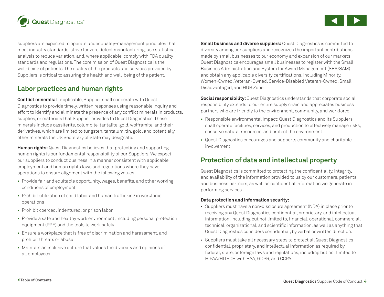<span id="page-3-0"></span>

suppliers are expected to operate under quality-management principles that meet industry standards, strive for zero defect manufacturing, use statistical analysis to reduce variation, and, where applicable, comply with FDA quality standards and regulations. The core mission of Quest Diagnostics is the well-being of patients. The quality of the products and services provided by Suppliers is critical to assuring the health and well-being of the patient.

#### **Labor practices and human rights**

**Conflict minerals:** If applicable, Supplier shall cooperate with Quest Diagnostics to provide timely, written responses using reasonable inquiry and effort to identify and eliminate the presence of any conflict minerals in products, supplies, or materials that Supplier provides to Quest Diagnostics. These minerals include cassiterite, columbite-tantalite, gold, wolframite, and their derivatives, which are limited to tungsten, tantalum, tin, gold, and potentially other minerals the US Secretary of State may designate.

**Human rights:** Quest Diagnostics believes that protecting and supporting human rights is our fundamental responsibility of our Suppliers. We expect our suppliers to conduct business in a manner consistent with applicable employment and human rights laws and regulations where they have operations to ensure alignment with the following values:

- **•** Provide fair and equitable opportunity, wages, benefits, and other working conditions of employment
- **•** Prohibit utilization of child labor and human trafficking in workforce operations
- **•** Prohibit coerced, indentured, or prison labor
- **•** Provide a safe and healthy work environment, including personal protection equipment (PPE) and the tools to work safely
- **•** Ensure a workplace that is free of discrimination and harassment, and prohibit threats or abuse
- **•** Maintain an inclusive culture that values the diversity and opinions of all employees

**Small business and diverse suppliers:** Quest Diagnostics is committed to diversity among our suppliers and recognizes the important contributions made by small businesses to our economy and expansion of our markets. Quest Diagnostics encourages small businesses to register with the Small Business Administration and System for Award Management (SBA/SAM) and obtain any applicable diversity certifications, including Minority, Women-Owned, Veteran-Owned, Service-Disabled Veteran-Owned, Small Disadvantaged, and HUB Zone.

**Social responsibility:** Quest Diagnostics understands that corporate social responsibility extends to our entire supply chain and appreciates business partners who are friendly to the environment, community, and workforce.

- **•** Responsible environmental impact: Quest Diagnostics and its Suppliers shall operate facilities, services, and production to effectively manage risks, conserve natural resources, and protect the environment.
- **•** Quest Diagnostics encourages and supports community and charitable involvement.

#### **Protection of data and intellectual property**

Quest Diagnostics is committed to protecting the confidentiality, integrity, and availability of the information provided to us by our customers, patients and business partners, as well as confidential information we generate in performing services.

#### **Data protection and information security:**

- Suppliers must have a non-disclosure agreement (NDA) in place prior to receiving any Quest Diagnostics confidential, proprietary, and intellectual information, including but not limited to, financial, operational, commercial, technical, organizational, and scientific information, as well as anything that Quest Diagnostics considers confidential, by verbal or written direction.
- Suppliers must take all necessary steps to protect all Quest Diagnostics confidential, proprietary, and intellectual information as required by federal, state, or foreign laws and regulations, including but not limited to HIPAA/HITECH with BAA, GDPR, and CCPA.

 $\blacktriangleleft$ 

[s](#page-4-0)